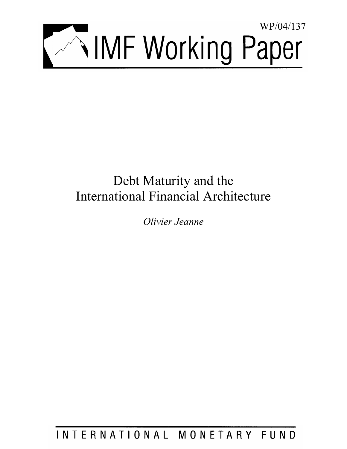

# Debt Maturity and the International Financial Architecture

*Olivier Jeanne* 

INTERNATIONAL MONETARY FUND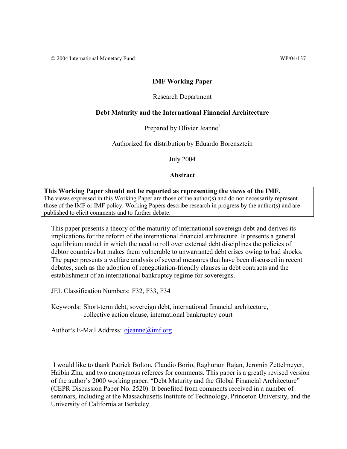# **IMF Working Paper**

# Research Department

# **Debt Maturity and the International Financial Architecture**

Prepared by Olivier Jeanne<sup>1</sup>

Authorized for distribution by Eduardo Borensztein

July 2004

**Abstract**

# **This Working Paper should not be reported as representing the views of the IMF.**

The views expressed in this Working Paper are those of the author(s) and do not necessarily represent those of the IMF or IMF policy. Working Papers describe research in progress by the author(s) and are published to elicit comments and to further debate.

This paper presents a theory of the maturity of international sovereign debt and derives its implications for the reform of the international financial architecture. It presents a general equilibrium model in which the need to roll over external debt disciplines the policies of debtor countries but makes them vulnerable to unwarranted debt crises owing to bad shocks. The paper presents a welfare analysis of several measures that have been discussed in recent debates, such as the adoption of renegotiation-friendly clauses in debt contracts and the establishment of an international bankruptcy regime for sovereigns.

JEL Classification Numbers: F32, F33, F34

Keywords: Short-term debt, sovereign debt, international financial architecture, collective action clause, international bankruptcy court

Author's E-Mail Address: ojeanne@imf.org

<sup>&</sup>lt;sup>1</sup>I would like to thank Patrick Bolton, Claudio Borio, Raghuram Rajan, Jeromin Zettelmeyer, Haibin Zhu, and two anonymous referees for comments. This paper is a greatly revised version of the author's 2000 working paper, "Debt Maturity and the Global Financial Architecture" (CEPR Discussion Paper No. 2520). It benefited from comments received in a number of seminars, including at the Massachusetts Institute of Technology, Princeton University, and the University of California at Berkeley.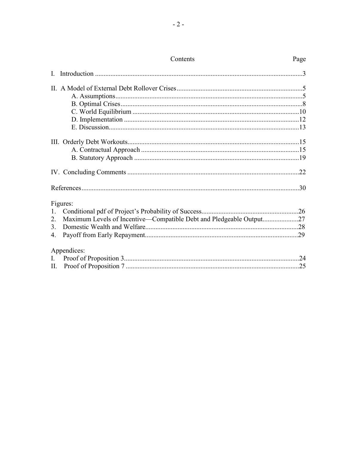|                | COLIERIUS                                                           | rage |
|----------------|---------------------------------------------------------------------|------|
| L              |                                                                     |      |
|                |                                                                     |      |
|                |                                                                     |      |
|                |                                                                     |      |
|                |                                                                     |      |
|                |                                                                     |      |
|                |                                                                     |      |
|                |                                                                     |      |
|                |                                                                     |      |
|                |                                                                     |      |
|                |                                                                     | .22  |
|                |                                                                     |      |
|                | Figures:                                                            |      |
| 1.             |                                                                     |      |
| 2.             | Maximum Levels of Incentive—Compatible Debt and Pledgeable Output27 |      |
| 3.             |                                                                     |      |
| 4.             |                                                                     |      |
|                | Appendices:                                                         |      |
| $\mathbf{I}$ . |                                                                     |      |
|                |                                                                     |      |

# Contents

# $P_2$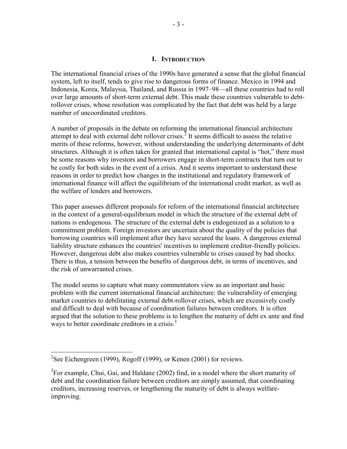#### **I. INTRODUCTION**

The international financial crises of the 1990s have generated a sense that the global financial system, left to itself, tends to give rise to dangerous forms of finance. Mexico in 1994 and Indonesia, Korea, Malaysia, Thailand, and Russia in 1997–98—all these countries had to roll over large amounts of short-term external debt. This made these countries vulnerable to debtrollover crises, whose resolution was complicated by the fact that debt was held by a large number of uncoordinated creditors.

A number of proposals in the debate on reforming the international financial architecture attempt to deal with external debt rollover crises.<sup>2</sup> It seems difficult to assess the relative merits of these reforms, however, without understanding the underlying determinants of debt structures. Although it is often taken for granted that international capital is "hot," there must be some reasons why investors and borrowers engage in short-term contracts that turn out to be costly for both sides in the event of a crisis. And it seems important to understand these reasons in order to predict how changes in the institutional and regulatory framework of international finance will affect the equilibrium of the international credit market, as well as the welfare of lenders and borrowers.

This paper assesses different proposals for reform of the international financial architecture in the context of a general-equilibrium model in which the structure of the external debt of nations is endogenous. The structure of the external debt is endogenized as a solution to a commitment problem. Foreign investors are uncertain about the quality of the policies that borrowing countries will implement after they have secured the loans. A dangerous external liability structure enhances the countries' incentives to implement creditor-friendly policies. However, dangerous debt also makes countries vulnerable to crises caused by bad shocks. There is thus, a tension between the benefits of dangerous debt, in terms of incentives, and the risk of unwarranted crises.

The model seems to capture what many commentators view as an important and basic problem with the current international financial architecture: the vulnerability of emerging market countries to debilitating external debt-rollover crises, which are excessively costly and difficult to deal with because of coordination failures between creditors. It is often argued that the solution to these problems is to lengthen the maturity of debt ex ante and find ways to better coordinate creditors in a crisis.<sup>3</sup>

<sup>&</sup>lt;sup>2</sup>See Eichengreen (1999), Rogoff (1999), or Kenen (2001) for reviews.

 $3$ For example, Chui, Gai, and Haldane (2002) find, in a model where the short maturity of debt and the coordination failure between creditors are simply assumed, that coordinating creditors, increasing reserves, or lengthening the maturity of debt is always welfareimproving.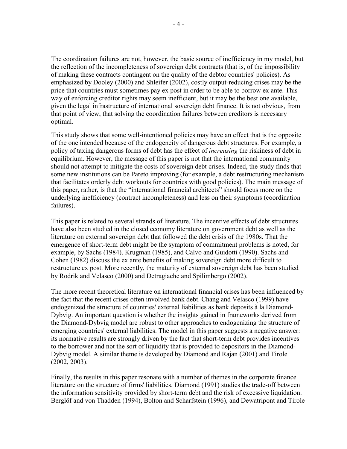The coordination failures are not, however, the basic source of inefficiency in my model, but the reflection of the incompleteness of sovereign debt contracts (that is, of the impossibility of making these contracts contingent on the quality of the debtor countries' policies). As emphasized by Dooley (2000) and Shleifer (2002), costly output-reducing crises may be the price that countries must sometimes pay ex post in order to be able to borrow ex ante. This way of enforcing creditor rights may seem inefficient, but it may be the best one available, given the legal infrastructure of international sovereign debt finance. It is not obvious, from that point of view, that solving the coordination failures between creditors is necessary optimal.

This study shows that some well-intentioned policies may have an effect that is the opposite of the one intended because of the endogeneity of dangerous debt structures. For example, a policy of taxing dangerous forms of debt has the effect of *increasing* the riskiness of debt in equilibrium. However, the message of this paper is not that the international community should not attempt to mitigate the costs of sovereign debt crises. Indeed, the study finds that some new institutions can be Pareto improving (for example, a debt restructuring mechanism that facilitates orderly debt workouts for countries with good policies). The main message of this paper, rather, is that the "international financial architects" should focus more on the underlying inefficiency (contract incompleteness) and less on their symptoms (coordination failures).

This paper is related to several strands of literature. The incentive effects of debt structures have also been studied in the closed economy literature on government debt as well as the literature on external sovereign debt that followed the debt crisis of the 1980s. That the emergence of short-term debt might be the symptom of commitment problems is noted, for example, by Sachs (1984), Krugman (1985), and Calvo and Guidotti (1990). Sachs and Cohen (1982) discuss the ex ante benefits of making sovereign debt more difficult to restructure ex post. More recently, the maturity of external sovereign debt has been studied by Rodrik and Velasco (2000) and Detragiache and Spilimbergo (2002).

The more recent theoretical literature on international financial crises has been influenced by the fact that the recent crises often involved bank debt. Chang and Velasco (1999) have endogenized the structure of countries' external liabilities as bank deposits à la Diamond-Dybvig. An important question is whether the insights gained in frameworks derived from the Diamond-Dybvig model are robust to other approaches to endogenizing the structure of emerging countries' external liabilities. The model in this paper suggests a negative answer: its normative results are strongly driven by the fact that short-term debt provides incentives to the borrower and not the sort of liquidity that is provided to depositors in the Diamond-Dybvig model. A similar theme is developed by Diamond and Rajan (2001) and Tirole (2002, 2003).

Finally, the results in this paper resonate with a number of themes in the corporate finance literature on the structure of firms' liabilities. Diamond (1991) studies the trade-off between the information sensitivity provided by short-term debt and the risk of excessive liquidation. Berglöf and von Thadden (1994), Bolton and Scharfstein (1996), and Dewatripont and Tirole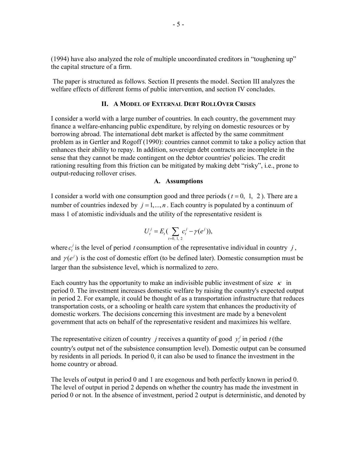(1994) have also analyzed the role of multiple uncoordinated creditors in "toughening up" the capital structure of a firm.

 The paper is structured as follows. Section II presents the model. Section III analyzes the welfare effects of different forms of public intervention, and section IV concludes.

## **II. A MODEL OF EXTERNAL DEBT ROLLOVER CRISES**

I consider a world with a large number of countries. In each country, the government may finance a welfare-enhancing public expenditure, by relying on domestic resources or by borrowing abroad. The international debt market is affected by the same commitment problem as in Gertler and Rogoff (1990): countries cannot commit to take a policy action that enhances their ability to repay. In addition, sovereign debt contracts are incomplete in the sense that they cannot be made contingent on the debtor countries' policies. The credit rationing resulting from this friction can be mitigated by making debt "risky", i.e., prone to output-reducing rollover crises.

#### **A. Assumptions**

I consider a world with one consumption good and three periods ( $t = 0, 1, 2$ ). There are a number of countries indexed by  $j = 1, ..., n$ . Each country is populated by a continuum of mass 1 of atomistic individuals and the utility of the representative resident is

$$
U_t^j = E_t \big( \sum_{t=0, 1, 2} c_t^j - \gamma(e^j) \big),
$$

where  $c_i^j$  is the level of period *t* consumption of the representative individual in country *j*, and  $\gamma(e^j)$  is the cost of domestic effort (to be defined later). Domestic consumption must be larger than the subsistence level, which is normalized to zero.

Each country has the opportunity to make an indivisible public investment of size  $\kappa$  in period 0. The investment increases domestic welfare by raising the country's expected output in period 2. For example, it could be thought of as a transportation infrastructure that reduces transportation costs, or a schooling or health care system that enhances the productivity of domestic workers. The decisions concerning this investment are made by a benevolent government that acts on behalf of the representative resident and maximizes his welfare.

The representative citizen of country *j* receives a quantity of good  $y_t$  in period *t* (the country's output net of the subsistence consumption level). Domestic output can be consumed by residents in all periods. In period 0, it can also be used to finance the investment in the home country or abroad.

The levels of output in period 0 and 1 are exogenous and both perfectly known in period 0. The level of output in period 2 depends on whether the country has made the investment in period 0 or not. In the absence of investment, period 2 output is deterministic, and denoted by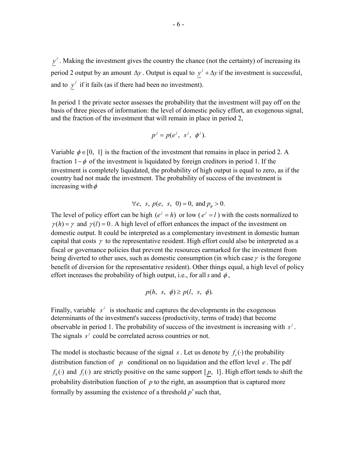$y<sup>j</sup>$ . Making the investment gives the country the chance (not the certainty) of increasing its period 2 output by an amount  $\Delta y$ . Output is equal to  $y^{j} + \Delta y$  if the investment is successful, and to  $y^j$  if it fails (as if there had been no investment).

In period 1 the private sector assesses the probability that the investment will pay off on the basis of three pieces of information: the level of domestic policy effort, an exogenous signal, and the fraction of the investment that will remain in place in period 2,

$$
p^j = p(e^j, s^j, \phi^j).
$$

Variable  $\phi \in [0, 1]$  is the fraction of the investment that remains in place in period 2. A fraction  $1-\phi$  of the investment is liquidated by foreign creditors in period 1. If the investment is completely liquidated, the probability of high output is equal to zero, as if the country had not made the investment. The probability of success of the investment is increasing with  $\phi$ 

# $\forall e, s, p(e, s, 0) = 0, \text{ and } p_a > 0.$

The level of policy effort can be high  $(e^j = h)$  or low  $(e^j = l)$  with the costs normalized to  $\gamma(h) = \gamma$  and  $\gamma(l) = 0$ . A high level of effort enhances the impact of the investment on domestic output. It could be interpreted as a complementary investment in domestic human capital that costs  $\gamma$  to the representative resident. High effort could also be interpreted as a fiscal or governance policies that prevent the resources earmarked for the investment from being diverted to other uses, such as domestic consumption (in which case  $\gamma$  is the foregone benefit of diversion for the representative resident). Other things equal, a high level of policy effort increases the probability of high output, i.e., for all s and  $\phi$ ,

$$
p(h, s, \phi) \ge p(l, s, \phi).
$$

Finally, variable  $s^j$  is stochastic and captures the developments in the exogenous determinants of the investment's success (productivity, terms of trade) that become observable in period 1. The probability of success of the investment is increasing with  $s^j$ . The signals  $s^j$  could be correlated across countries or not.

The model is stochastic because of the signal *s*. Let us denote by  $f_e(\cdot)$  the probability distribution function of *p* conditional on no liquidation and the effort level *e* . The pdf  $f_h(\cdot)$  and  $f_l(\cdot)$  are strictly positive on the same support  $[p, 1]$ . High effort tends to shift the probability distribution function of *p* to the right, an assumption that is captured more formally by assuming the existence of a threshold  $p^*$  such that,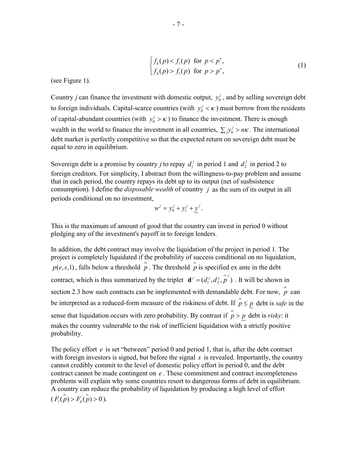$$
\begin{cases}\nf_h(p) < f_l(p) \quad \text{for } p < p^*, \\
f_h(p) > f_l(p) \quad \text{for } p > p^*,\n\end{cases}\n\tag{1}
$$

(see Figure 1).

Country *j* can finance the investment with domestic output,  $y_0^j$ , and by selling sovereign debt to foreign individuals. Capital-scarce countries (with  $y_0^j < \kappa$ ) must borrow from the residents of capital-abundant countries (with  $y_0^j > \kappa$ ) to finance the investment. There is enough wealth in the world to finance the investment in all countries,  $\sum_j y^j \geq n\kappa$ . The international debt market is perfectly competitive so that the expected return on sovereign debt must be equal to zero in equilibrium.

Sovereign debt is a promise by country *j* to repay  $d_1^j$  in period 1 and  $d_2^j$  in period 2 to foreign creditors. For simplicity, I abstract from the willingness-to-pay problem and assume that in each period, the country repays its debt up to its output (net of susbsistence consumption). I define the *disposable wealth* of country *j* as the sum of its output in all periods conditional on no investment,

$$
w^{j} = y_0^{j} + y_1^{j} + y^{j}.
$$

This is the maximum of amount of good that the country can invest in period 0 without pledging any of the investment's payoff in to foreign lenders.

In addition, the debt contract may involve the liquidation of the project in period 1. The project is completely liquidated if the probability of success conditional on no liquidation,  $p(e, s, 1)$ , falls below a threshold  $\hat{p}$ . The threshold  $\hat{p}$  is specified ex ante in the debt contract, which is thus summarized by the triplet  $\mathbf{d}^j = (d_1^j, d_2^j, \hat{p}^j)$ . It will be shown in section 2.3 how such contracts can be implemented with demandable debt. For now,  $\hat{p}$  can be interpreted as a reduced-form measure of the riskiness of debt. If  $\hat{p} \le p$  debt is *safe* in the sense that liquidation occurs with zero probability. By contrast if  $\hat{p} > p$  debt is *risky*: it makes the country vulnerable to the risk of inefficient liquidation with a strictly positive probability.

The policy effort *e* is set "between" period 0 and period 1, that is, after the debt contract with foreign investors is signed, but before the signal *s* is revealed. Importantly, the country cannot credibly commit to the level of domestic policy effort in period 0, and the debt contract cannot be made contingent on *e* . These commitment and contract incompleteness problems will explain why some countries resort to dangerous forms of debt in equilibrium. A country can reduce the probability of liquidation by producing a high level of effort  $(F_l(\hat{p}) > F_h(\hat{p}) > 0$ ).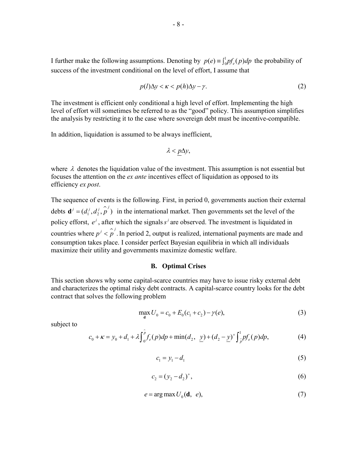I further make the following assumptions. Denoting by  $p(e) \equiv \int_0^1 p f_e(p) dp$  the probability of success of the investment conditional on the level of effort, I assume that

$$
p(l)\Delta y < \kappa < p(h)\Delta y - \gamma. \tag{2}
$$

The investment is efficient only conditional a high level of effort. Implementing the high level of effort will sometimes be referred to as the "good" policy. This assumption simplifies the analysis by restricting it to the case where sovereign debt must be incentive-compatible.

In addition, liquidation is assumed to be always inefficient,

$$
\lambda < p\Delta y,
$$

where  $\lambda$  denotes the liquidation value of the investment. This assumption is not essential but focuses the attention on the *ex ante* incentives effect of liquidation as opposed to its efficiency *ex post*.

The sequence of events is the following. First, in period 0, governments auction their external debts  $\mathbf{d}^j = (d_1^j, d_2^j, \hat{p}^j)$  in the international market. Then governments set the level of the policy efforst,  $e^j$ , after which the signals  $s^j$  are observed. The investment is liquidated in countries where  $p^{j} < \hat{p}^{j}$ . In period 2, output is realized, international payments are made and consumption takes place. I consider perfect Bayesian equilibria in which all individuals maximize their utility and governments maximize domestic welfare.

#### **B. Optimal Crises**

This section shows why some capital-scarce countries may have to issue risky external debt and characterizes the optimal risky debt contracts. A capital-scarce country looks for the debt contract that solves the following problem

$$
\max_{d} U_0 = c_0 + E_0(c_1 + c_2) - \gamma(e),
$$
\n(3)

subject to

$$
c_0 + \kappa = y_0 + d_1 + \lambda \int_0^{\hat{p}} f_e(p) dp + \min(d_2, \ \underline{y}) + (d_2 - \underline{y})^+ \int_{\hat{p}}^1 pf_e(p) dp, \tag{4}
$$

$$
c_1 = y_1 - d_1 \tag{5}
$$

$$
c_2 = (y_2 - d_2)^+, \tag{6}
$$

$$
e = \arg \max U_0(\mathbf{d}, e), \tag{7}
$$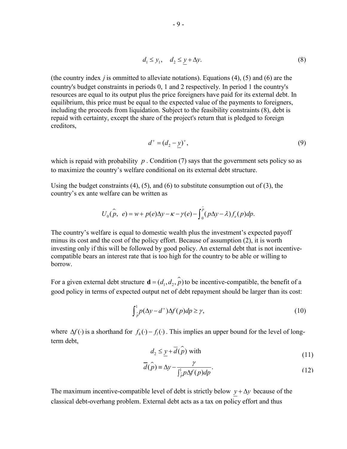$$
d_1 \le y_1, \quad d_2 \le y + \Delta y. \tag{8}
$$

(the country index *j* is ommitted to alleviate notations). Equations (4), (5) and (6) are the country's budget constraints in periods 0, 1 and 2 respectively. In period 1 the country's resources are equal to its output plus the price foreigners have paid for its external debt. In equilibrium, this price must be equal to the expected value of the payments to foreigners, including the proceeds from liquidation. Subject to the feasibility constraints (8), debt is repaid with certainty, except the share of the project's return that is pledged to foreign creditors,

$$
d^+ = (d_2 - y)^+, \tag{9}
$$

which is repaid with probability  $p$ . Condition (7) says that the government sets policy so as to maximize the country's welfare conditional on its external debt structure.

Using the budget constraints  $(4)$ ,  $(5)$ , and  $(6)$  to substitute consumption out of  $(3)$ , the country's ex ante welfare can be written as

$$
U_0(\hat{p}, e) = w + p(e)\Delta y - \kappa - \gamma(e) - \int_0^{\hat{p}} (p\Delta y - \lambda) f_e(p) dp.
$$

The country's welfare is equal to domestic wealth plus the investment's expected payoff minus its cost and the cost of the policy effort. Because of assumption (2), it is worth investing only if this will be followed by good policy. An external debt that is not incentivecompatible bears an interest rate that is too high for the country to be able or willing to borrow.

For a given external debt structure  $\mathbf{d} = (d_1, d_2, \hat{p})$  to be incentive-compatible, the benefit of a good policy in terms of expected output net of debt repayment should be larger than its cost:

$$
\int_{\hat{p}}^{1} p(\Delta y - d^+) \Delta f(p) dp \ge \gamma, \tag{10}
$$

where  $\Delta f(\cdot)$  is a shorthand for  $f_h(\cdot) - f_l(\cdot)$ . This implies an upper bound for the level of longterm debt,

$$
d_2 \leq \underline{y} + \overline{d}(\hat{p}) \text{ with } (11)
$$

$$
\overline{d}(\hat{p}) = \Delta y - \frac{\gamma}{\int_{\hat{p}}^1 p \Delta f(p) dp}.
$$
 (12)

The maximum incentive-compatible level of debt is strictly below  $y + \Delta y$  because of the classical debt-overhang problem. External debt acts as a tax on policy effort and thus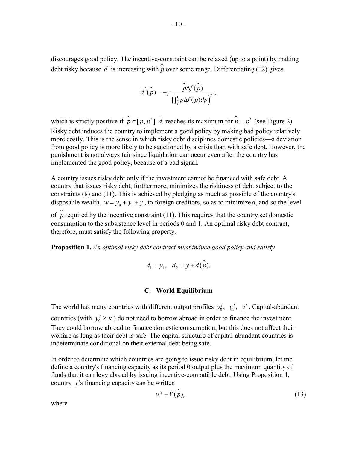discourages good policy. The incentive-constraint can be relaxed (up to a point) by making debt risky because  $\overline{d}$  is increasing with  $\hat{p}$  over some range. Differentiating (12) gives

$$
\overline{d}'(\widehat{p}) = -\gamma \frac{\widehat{p}\Delta f(\widehat{p})}{(\int_{\widehat{p}}^1 p \Delta f(p) dp)^2},
$$

which is strictly positive if  $\hat{p} \in [p, p^*]$ .  $\overline{d}$  reaches its maximum for  $\hat{p} = p^*$  (see Figure 2). Risky debt induces the country to implement a good policy by making bad policy relatively more costly. This is the sense in which risky debt disciplines domestic policies—a deviation from good policy is more likely to be sanctioned by a crisis than with safe debt. However, the punishment is not always fair since liquidation can occur even after the country has implemented the good policy, because of a bad signal.

A country issues risky debt only if the investment cannot be financed with safe debt. A country that issues risky debt, furthermore, minimizes the riskiness of debt subject to the constraints (8) and (11). This is achieved by pledging as much as possible of the country's disposable wealth,  $w = y_0 + y_1 + y_2$ , to foreign creditors, so as to minimize  $d_2$  and so the level of  $\hat{p}$  required by the incentive constraint (11). This requires that the country set domestic consumption to the subsistence level in periods 0 and 1. An optimal risky debt contract, therefore, must satisfy the following property.

**Proposition 1.** *An optimal risky debt contract must induce good policy and satisfy* 

$$
d_1 = y_1, \quad d_2 = y + \overline{d}(\widehat{p}).
$$

#### **C. World Equilibrium**

The world has many countries with different output profiles  $y_0^j$ ,  $y_1^j$ ,  $y^j$ . Capital-abundant countries (with  $y_0^j \ge \kappa$ ) do not need to borrow abroad in order to finance the investment. They could borrow abroad to finance domestic consumption, but this does not affect their welfare as long as their debt is safe. The capital structure of capital-abundant countries is indeterminate conditional on their external debt being safe.

In order to determine which countries are going to issue risky debt in equilibrium, let me define a country's financing capacity as its period 0 output plus the maximum quantity of funds that it can levy abroad by issuing incentive-compatible debt. Using Proposition 1, country *j* 's financing capacity can be written

$$
w^j + V(\hat{p}),\tag{13}
$$

where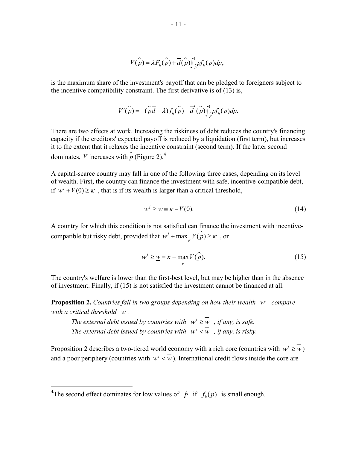$$
V(\hat{p}) = \lambda F_h(\hat{p}) + \overline{d}(\hat{p}) \int_{\hat{p}}^1 p f_h(p) dp,
$$

is the maximum share of the investment's payoff that can be pledged to foreigners subject to the incentive compatibility constraint. The first derivative is of (13) is,

$$
V'(\hat{p}) = -(\hat{p}\overline{d} - \lambda) f_h(\hat{p}) + \overline{d}'(\hat{p}) \int_{\hat{p}}^1 p f_h(p) dp.
$$

There are two effects at work. Increasing the riskiness of debt reduces the country's financing capacity if the creditors' expected payoff is reduced by a liquidation (first term), but increases it to the extent that it relaxes the incentive constraint (second term). If the latter second dominates, *V* increases with  $\hat{p}$  (Figure 2).<sup>4</sup>

A capital-scarce country may fall in one of the following three cases, depending on its level of wealth. First, the country can finance the investment with safe, incentive-compatible debt, if  $w^j + V(0) \ge \kappa$ , that is if its wealth is larger than a critical threshold,

$$
w^{j} \ge \overline{w} \equiv \kappa - V(0). \tag{14}
$$

A country for which this condition is not satisfied can finance the investment with incentivecompatible but risky debt, provided that  $w^j + \max_{\hat{p}} V(\hat{p}) \ge \kappa$ , or

$$
w^{j} \geq \underline{w} \equiv \kappa - \max_{\hat{p}} V(\hat{p}).
$$
\n(15)

The country's welfare is lower than the first-best level, but may be higher than in the absence of investment. Finally, if (15) is not satisfied the investment cannot be financed at all.

**Proposition 2.** *Countries fall in two groups depending on how their wealth*  $w^j$  *compare with a critical threshold w .* 

*The external debt issued by countries with*  $w^j \geq w$ , *if any, is safe. The external debt issued by countries with*  $w^j < w$ , *if any, is risky.* 

Proposition 2 describes a two-tiered world economy with a rich core (countries with  $w^j \geq w$ ) and a poor periphery (countries with  $w' < w$ ). International credit flows inside the core are

1

<sup>&</sup>lt;sup>4</sup>The second effect dominates for low values of  $\hat{p}$  if  $f_h(p)$  is small enough.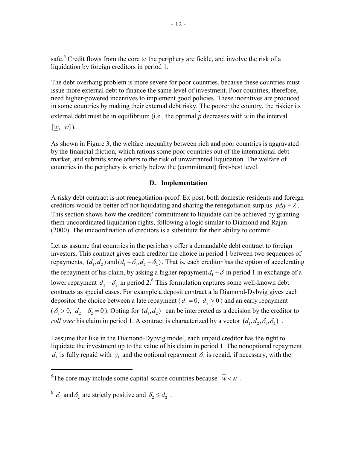safe.<sup>5</sup> Credit flows from the core to the periphery are fickle, and involve the risk of a liquidation by foreign creditors in period 1.

The debt overhang problem is more severe for poor countries, because these countries must issue more external debt to finance the same level of investment. Poor countries, therefore, need higher-powered incentives to implement good policies. These incentives are produced in some countries by making their external debt risky. The poorer the country, the riskier its

external debt must be in equilibrium (i.e., the optimal  $\hat{p}$  decreases with *w* in the interval

 $\left[ w, w \right]$ .

 $\overline{a}$ 

As shown in Figure 3, the welfare inequality between rich and poor countries is aggravated by the financial friction, which rations some poor countries out of the international debt market, and submits some others to the risk of unwarranted liquidation. The welfare of countries in the periphery is strictly below the (commitment) first-best level.

## **D. Implementation**

A risky debt contract is not renegotiation-proof. Ex post, both domestic residents and foreign creditors would be better off not liquidating and sharing the renegotiation surplus  $p\Delta y - \lambda$ . This section shows how the creditors' commitment to liquidate can be achieved by granting them uncoordinated liquidation rights, following a logic similar to Diamond and Rajan (2000). The uncoordination of creditors is a substitute for their ability to commit.

Let us assume that countries in the periphery offer a demandable debt contract to foreign investors. This contract gives each creditor the choice in period 1 between two sequences of repayments,  $(d_1, d_2)$  and  $(d_1 + \delta_1, d_2 - \delta_2)$ . That is, each creditor has the option of accelerating the repayment of his claim, by asking a higher repayment  $d_1 + \delta_1$  in period 1 in exchange of a lower repayment  $d_2 - \delta_2$  in period 2.<sup>6</sup> This formulation captures some well-known debt contracts as special cases. For example a deposit contract a la Diamond-Dybvig gives each depositor the choice between a late repayment ( $d_1 = 0$ ,  $d_2 > 0$ ) and an early repayment  $(\delta_1 > 0, d_2 - \delta_2 = 0)$ . Opting for  $(d_1, d_2)$  can be interpreted as a decision by the creditor to *roll over* his claim in period 1. A contract is characterized by a vector  $(d_1, d_2, \delta_1, \delta_2)$ .

I assume that like in the Diamond-Dybvig model, each unpaid creditor has the right to liquidate the investment up to the value of his claim in period 1. The nonoptional repayment  $d_1$  is fully repaid with  $y_1$  and the optional repayment  $\delta_1$  is repaid, if necessary, with the

<sup>&</sup>lt;sup>5</sup>The core may include some capital-scarce countries because  $\overline{w} < \kappa$ .

<sup>&</sup>lt;sup>6</sup>  $\delta_1$  and  $\delta_2$  are strictly positive and  $\delta_2 \leq d_2$ .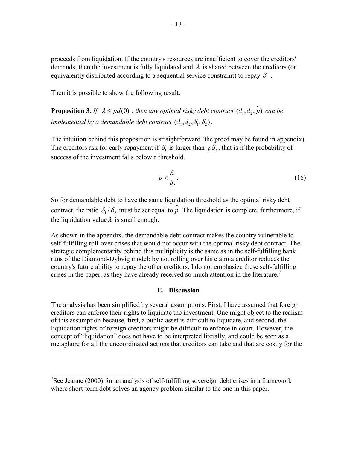proceeds from liquidation. If the country's resources are insufficient to cover the creditors' demands, then the investment is fully liquidated and  $\lambda$  is shared between the creditors (or equivalently distributed according to a sequential service constraint) to repay  $\delta$ .

Then it is possible to show the following result.

**Proposition 3.** *If*  $\lambda \leq p\overline{d}(0)$ , then any optimal risky debt contract  $(d_1, d_2, \hat{p})$  can be *implemented by a demandable debt contract*  $(d_1, d_2, \delta_1, \delta_2)$ .

The intuition behind this proposition is straightforward (the proof may be found in appendix). The creditors ask for early repayment if  $\delta_1$  is larger than  $p\delta_2$ , that is if the probability of success of the investment falls below a threshold,

$$
p < \frac{\delta_1}{\delta_2}.\tag{16}
$$

So for demandable debt to have the same liquidation threshold as the optimal risky debt contract, the ratio  $\delta_1 / \delta_2$  must be set equal to  $\hat{p}$ . The liquidation is complete, furthermore, if the liquidation value  $\lambda$  is small enough.

As shown in the appendix, the demandable debt contract makes the country vulnerable to self-fulfilling roll-over crises that would not occur with the optimal risky debt contract. The strategic complementarity behind this multiplicity is the same as in the self-fulfilling bank runs of the Diamond-Dybvig model: by not rolling over his claim a creditor reduces the country's future ability to repay the other creditors. I do not emphasize these self-fulfilling crises in the paper, as they have already received so much attention in the literature.<sup>7</sup>

## **E. Discussion**

The analysis has been simplified by several assumptions. First, I have assumed that foreign creditors can enforce their rights to liquidate the investment. One might object to the realism of this assumption because, first, a public asset is difficult to liquidate, and second, the liquidation rights of foreign creditors might be difficult to enforce in court. However, the concept of "liquidation" does not have to be interpreted literally, and could be seen as a metaphore for all the uncoordinated actions that creditors can take and that are costly for the

<sup>&</sup>lt;sup>7</sup>See Jeanne (2000) for an analysis of self-fulfilling sovereign debt crises in a framework where short-term debt solves an agency problem similar to the one in this paper.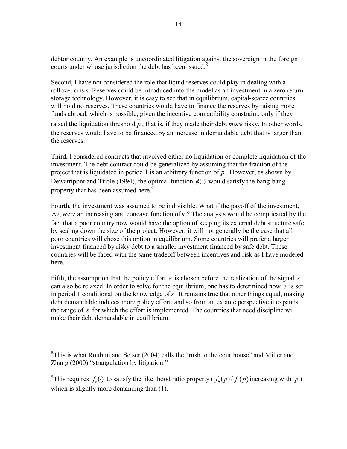debtor country. An example is uncoordinated litigation against the sovereign in the foreign courts under whose jurisdiction the debt has been issued.<sup>8</sup>

Second, I have not considered the role that liquid reserves could play in dealing with a rollover crisis. Reserves could be introduced into the model as an investment in a zero return storage technology. However, it is easy to see that in equilibrium, capital-scarce countries will hold no reserves. These countries would have to finance the reserves by raising more funds abroad, which is possible, given the incentive compatibility constraint, only if they raised the liquidation threshold  $\hat{p}$ , that is, if they made their debt *more* risky. In other words, the reserves would have to be financed by an increase in demandable debt that is larger than the reserves.

Third, I considered contracts that involved either no liquidation or complete liquidation of the investment. The debt contract could be generalized by assuming that the fraction of the project that is liquidated in period 1 is an arbitrary function of *p* . However, as shown by Dewatripont and Tirole (1994), the optimal function  $\phi(.)$  would satisfy the bang-bang property that has been assumed here.<sup>9</sup>

Fourth, the investment was assumed to be indivisible. What if the payoff of the investment,  $\Delta y$ , were an increasing and concave function of  $\kappa$ ? The analysis would be complicated by the fact that a poor country now would have the option of keeping its external debt structure safe by scaling down the size of the project. However, it will not generally be the case that all poor countries will chose this option in equilibrium. Some countries will prefer a larger investment financed by risky debt to a smaller investment financed by safe debt. These countries will be faced with the same tradeoff between incentives and risk as I have modeled here.

Fifth, the assumption that the policy effort *e* is chosen before the realization of the signal *s* can also be relaxed. In order to solve for the equilibrium, one has to determined how *e* is set in period 1 conditional on the knowledge of*s*. It remains true that other things equal, making debt demandable induces more policy effort, and so from an ex ante perspective it expands the range of *s* for which the effort is implemented. The countries that need discipline will make their debt demandable in equilibrium.

<sup>&</sup>lt;sup>8</sup>This is what Roubini and Setser (2004) calls the "rush to the courthouse" and Miller and Zhang (2000) "strangulation by litigation."

<sup>&</sup>lt;sup>9</sup>This requires  $f_e(\cdot)$  to satisfy the likelihood ratio property ( $f_h(p)/f_l(p)$  increasing with p) which is slightly more demanding than  $(1)$ .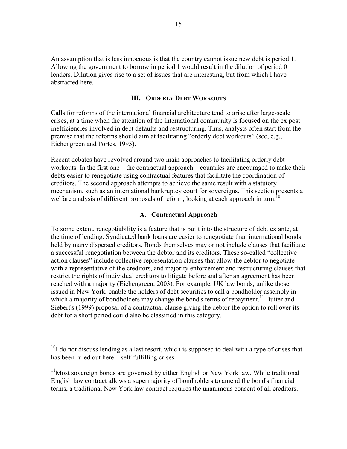An assumption that is less innocuous is that the country cannot issue new debt is period 1. Allowing the government to borrow in period 1 would result in the dilution of period 0 lenders. Dilution gives rise to a set of issues that are interesting, but from which I have abstracted here.

#### **III. ORDERLY DEBT WORKOUTS**

Calls for reforms of the international financial architecture tend to arise after large-scale crises, at a time when the attention of the international community is focused on the ex post inefficiencies involved in debt defaults and restructuring. Thus, analysts often start from the premise that the reforms should aim at facilitating "orderly debt workouts" (see, e.g., Eichengreen and Portes, 1995).

Recent debates have revolved around two main approaches to facilitating orderly debt workouts. In the first one—the contractual approach—countries are encouraged to make their debts easier to renegotiate using contractual features that facilitate the coordination of creditors. The second approach attempts to achieve the same result with a statutory mechanism, such as an international bankruptcy court for sovereigns. This section presents a welfare analysis of different proposals of reform, looking at each approach in turn.<sup>10</sup>

#### **A. Contractual Approach**

To some extent, renegotiability is a feature that is built into the structure of debt ex ante, at the time of lending. Syndicated bank loans are easier to renegotiate than international bonds held by many dispersed creditors. Bonds themselves may or not include clauses that facilitate a successful renegotiation between the debtor and its creditors. These so-called "collective action clauses" include collective representation clauses that allow the debtor to negotiate with a representative of the creditors, and majority enforcement and restructuring clauses that restrict the rights of individual creditors to litigate before and after an agreement has been reached with a majority (Eichengreen, 2003). For example, UK law bonds, unlike those issued in New York, enable the holders of debt securities to call a bondholder assembly in which a majority of bondholders may change the bond's terms of repayment.<sup>11</sup> Buiter and Siebert's (1999) proposal of a contractual clause giving the debtor the option to roll over its debt for a short period could also be classified in this category.

 $10<sub>I</sub>$  do not discuss lending as a last resort, which is supposed to deal with a type of crises that has been ruled out here—self-fulfilling crises.

 $11$ Most sovereign bonds are governed by either English or New York law. While traditional English law contract allows a supermajority of bondholders to amend the bond's financial terms, a traditional New York law contract requires the unanimous consent of all creditors.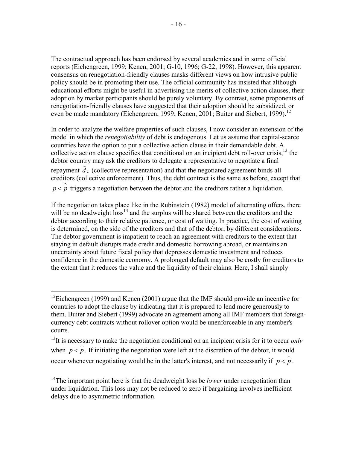The contractual approach has been endorsed by several academics and in some official reports (Eichengreen, 1999; Kenen, 2001; G-10, 1996; G-22, 1998). However, this apparent consensus on renegotiation-friendly clauses masks different views on how intrusive public policy should be in promoting their use. The official community has insisted that although educational efforts might be useful in advertising the merits of collective action clauses, their adoption by market participants should be purely voluntary. By contrast, some proponents of renegotiation-friendly clauses have suggested that their adoption should be subsidized, or even be made mandatory (Eichengreen, 1999; Kenen, 2001; Buiter and Siebert, 1999).<sup>12</sup>

In order to analyze the welfare properties of such clauses, I now consider an extension of the model in which the *renegotiability* of debt is endogenous. Let us assume that capital-scarce countries have the option to put a collective action clause in their demandable debt. A collective action clause specifies that conditional on an incipient debt roll-over crisis.<sup>13</sup> the debtor country may ask the creditors to delegate a representative to negotiate a final repayment  $\tilde{d}_2$  (collective representation) and that the negotiated agreement binds all creditors (collective enforcement). Thus, the debt contract is the same as before, except that  $p < \hat{p}$  triggers a negotiation between the debtor and the creditors rather a liquidation.

If the negotiation takes place like in the Rubinstein (1982) model of alternating offers, there will be no deadweight  $loss<sup>14</sup>$  and the surplus will be shared between the creditors and the debtor according to their relative patience, or cost of waiting. In practice, the cost of waiting is determined, on the side of the creditors and that of the debtor, by different considerations. The debtor government is impatient to reach an agreement with creditors to the extent that staying in default disrupts trade credit and domestic borrowing abroad, or maintains an uncertainty about future fiscal policy that depresses domestic investment and reduces confidence in the domestic economy. A prolonged default may also be costly for creditors to the extent that it reduces the value and the liquidity of their claims. Here, I shall simply

1

<sup>&</sup>lt;sup>12</sup>Eichengreen (1999) and Kenen (2001) argue that the IMF should provide an incentive for countries to adopt the clause by indicating that it is prepared to lend more generously to them. Buiter and Siebert (1999) advocate an agreement among all IMF members that foreigncurrency debt contracts without rollover option would be unenforceable in any member's courts.

<sup>&</sup>lt;sup>13</sup>It is necessary to make the negotiation conditional on an incipient crisis for it to occur *only* when  $p < p$ . If initiating the negotiation were left at the discretion of the debtor, it would occur whenever negotiating would be in the latter's interest, and not necessarily if  $p < p$ .

<sup>&</sup>lt;sup>14</sup>The important point here is that the deadweight loss be *lower* under renegotiation than under liquidation. This loss may not be reduced to zero if bargaining involves inefficient delays due to asymmetric information.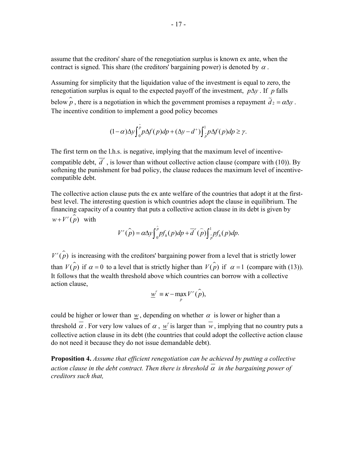assume that the creditors' share of the renegotiation surplus is known ex ante, when the contract is signed. This share (the creditors' bargaining power) is denoted by  $\alpha$ .

Assuming for simplicity that the liquidation value of the investment is equal to zero, the renegotiation surplus is equal to the expected payoff of the investment, *p*∆*y* . If *p* falls below  $\hat{p}$ , there is a negotiation in which the government promises a repayment  $\tilde{d}_2 = \alpha \Delta y$ . The incentive condition to implement a good policy becomes

$$
(1-\alpha)\Delta y \int_{0}^{\hat{p}} p\Delta f(p) dp + (\Delta y - d^{+}) \int_{\hat{p}}^{1} p\Delta f(p) dp \geq \gamma.
$$

The first term on the l.h.s. is negative, implying that the maximum level of incentive-

compatible debt,  $\overline{d}^r$ , is lower than without collective action clause (compare with (10)). By softening the punishment for bad policy, the clause reduces the maximum level of incentivecompatible debt.

The collective action clause puts the ex ante welfare of the countries that adopt it at the firstbest level. The interesting question is which countries adopt the clause in equilibrium. The financing capacity of a country that puts a collective action clause in its debt is given by  $w + V^r(\hat{p})$  with

$$
V^{r}(\hat{p}) = \alpha \Delta y \int_{0}^{\hat{p}} p f_h(p) dp + \overline{d}'(\hat{p}) \int_{\hat{p}}^1 p f_h(p) dp.
$$

 $V^r(\hat{\boldsymbol{p}})$  is increasing with the creditors' bargaining power from a level that is strictly lower than  $V(\hat{p})$  if  $\alpha = 0$  to a level that is strictly higher than  $V(\hat{p})$  if  $\alpha =1$  (compare with (13)). It follows that the wealth threshold above which countries can borrow with a collective action clause,

$$
\underline{w}^r \equiv \kappa - \max_{\hat{p}} V^r(\hat{p}),
$$

could be higher or lower than *w*, depending on whether  $\alpha$  is lower or higher than a threshold  $\alpha$ . For very low values of  $\alpha$ , w' is larger than  $\overline{w}$ , implying that no country puts a collective action clause in its debt (the countries that could adopt the collective action clause do not need it because they do not issue demandable debt).

**Proposition 4.** *Assume that efficient renegotiation can be achieved by putting a collective action clause in the debt contract. Then there is threshold*  $\alpha$  *in the bargaining power of creditors such that,*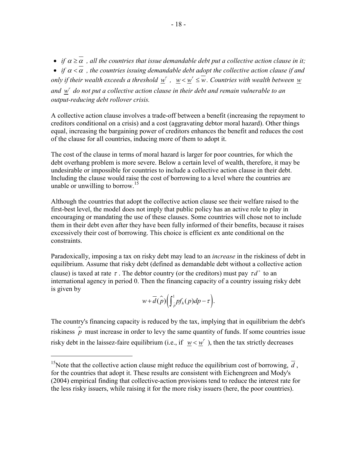• *if*  $\alpha \geq \overline{\alpha}$ , all the countries that issue demandable debt put a collective action clause in it;

• *if*  $\alpha < \alpha$ , the countries issuing demandable debt adopt the collective action clause if and *only if their wealth exceeds a threshold*  $w^r$ ,  $w < w^r \leq w$ . Countries with wealth between w and  $w<sup>r</sup>$  do not put a collective action clause in their debt and remain vulnerable to an *output-reducing debt rollover crisis.* 

A collective action clause involves a trade-off between a benefit (increasing the repayment to creditors conditional on a crisis) and a cost (aggravating debtor moral hazard). Other things equal, increasing the bargaining power of creditors enhances the benefit and reduces the cost of the clause for all countries, inducing more of them to adopt it.

The cost of the clause in terms of moral hazard is larger for poor countries, for which the debt overhang problem is more severe. Below a certain level of wealth, therefore, it may be undesirable or impossible for countries to include a collective action clause in their debt. Including the clause would raise the cost of borrowing to a level where the countries are unable or unwilling to borrow.<sup>15</sup>

Although the countries that adopt the collective action clause see their welfare raised to the first-best level, the model does not imply that public policy has an active role to play in encouraging or mandating the use of these clauses. Some countries will chose not to include them in their debt even after they have been fully informed of their benefits, because it raises excessively their cost of borrowing. This choice is efficient ex ante conditional on the constraints.

Paradoxically, imposing a tax on risky debt may lead to an *increase* in the riskiness of debt in equilibrium. Assume that risky debt (defined as demandable debt without a collective action clause) is taxed at rate  $\tau$ . The debtor country (or the creditors) must pay  $\tau d^+$  to an international agency in period 0. Then the financing capacity of a country issuing risky debt is given by

$$
w+\overline{d}(\widehat{p})\Big(\int_{\widehat{p}}^1 p f_h(p) dp - \tau\Big).
$$

The country's financing capacity is reduced by the tax, implying that in equilibrium the debt's riskiness  $\hat{p}$  must increase in order to levy the same quantity of funds. If some countries issue risky debt in the laissez-faire equilibrium (i.e., if  $w < w^r$ ), then the tax strictly decreases

1

<sup>&</sup>lt;sup>15</sup>Note that the collective action clause might reduce the equilibrium cost of borrowing,  $\overline{d}$ , for the countries that adopt it. These results are consistent with Eichengreen and Mody's (2004) empirical finding that collective-action provisions tend to reduce the interest rate for the less risky issuers, while raising it for the more risky issuers (here, the poor countries).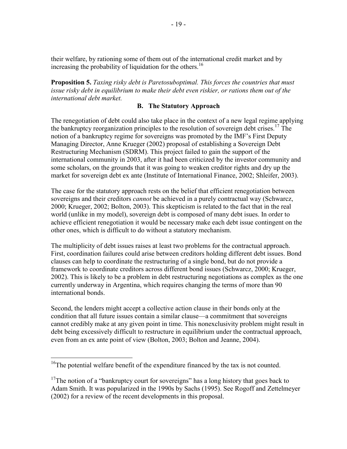their welfare, by rationing some of them out of the international credit market and by increasing the probability of liquidation for the others.<sup>16</sup>

**Proposition 5.** *Taxing risky debt is Paretosuboptimal. This forces the countries that must issue risky debt in equilibrium to make their debt even riskier, or rations them out of the international debt market.* 

## **B. The Statutory Approach**

The renegotiation of debt could also take place in the context of a new legal regime applying the bankruptcy reorganization principles to the resolution of sovereign debt crises.<sup>17</sup> The notion of a bankruptcy regime for sovereigns was promoted by the IMF's First Deputy Managing Director, Anne Krueger (2002) proposal of establishing a Sovereign Debt Restructuring Mechanism (SDRM). This project failed to gain the support of the international community in 2003, after it had been criticized by the investor community and some scholars, on the grounds that it was going to weaken creditor rights and dry up the market for sovereign debt ex ante (Institute of International Finance, 2002; Shleifer, 2003).

The case for the statutory approach rests on the belief that efficient renegotiation between sovereigns and their creditors *cannot* be achieved in a purely contractual way (Schwarcz, 2000; Krueger, 2002; Bolton, 2003). This skepticism is related to the fact that in the real world (unlike in my model), sovereign debt is composed of many debt isues. In order to achieve efficient renegotiation it would be necessary make each debt issue contingent on the other ones, which is difficult to do without a statutory mechanism.

The multiplicity of debt issues raises at least two problems for the contractual approach. First, coordination failures could arise between creditors holding different debt issues. Bond clauses can help to coordinate the restructuring of a single bond, but do not provide a framework to coordinate creditors across different bond issues (Schwarcz, 2000; Krueger, 2002). This is likely to be a problem in debt restructuring negotiations as complex as the one currently underway in Argentina, which requires changing the terms of more than 90 international bonds.

Second, the lenders might accept a collective action clause in their bonds only at the condition that all future issues contain a similar clause—a commitment that sovereigns cannot credibly make at any given point in time. This nonexclusivity problem might result in debt being excessively difficult to restructure in equilibrium under the contractual approach, even from an ex ante point of view (Bolton, 2003; Bolton and Jeanne, 2004).

<sup>&</sup>lt;sup>16</sup>The potential welfare benefit of the expenditure financed by the tax is not counted.

 $17$ The notion of a "bankruptcy court for sovereigns" has a long history that goes back to Adam Smith. It was popularized in the 1990s by Sachs (1995). See Rogoff and Zettelmeyer (2002) for a review of the recent developments in this proposal.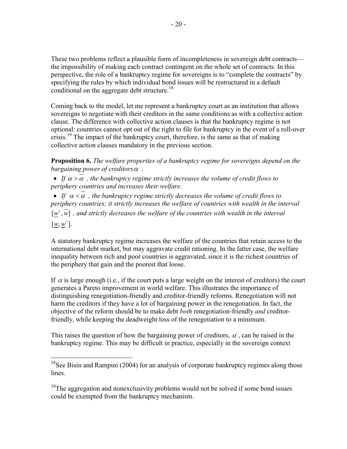These two problems reflect a plausible form of incompleteness in sovereign debt contracts the impossibility of making each contract contingent on the whole set of contracts. In this perspective, the role of a bankruptcy regime for sovereigns is to "complete the contracts" by specifying the rules by which individual bond issues will be restructured in a default conditional on the aggregate debt structure.<sup>18</sup>

Coming back to the model, let me represent a bankruptcy court as an institution that allows sovereigns to negotiate with their creditors in the same conditions as with a collective action clause. The difference with collective action clauses is that the bankruptcy regime is not optional: countries cannot opt out of the right to file for bankruptcy in the event of a roll-over crisis.<sup>19</sup> The impact of the bankruptcy court, therefore, is the same as that of making collective action clauses mandatory in the previous section.

**Proposition 6.** *The welfare properties of a bankruptcy regime for sovereigns depend on the bargaining power of creditors*α *.* 

• If  $\alpha > \alpha$ , the bankruptcy regime strictly increases the volume of credit flows to *periphery countries and increases their welfare.* 

• If  $\alpha < \alpha$ , the bankruptcy regime strictly decreases the volume of credit flows to *periphery countries; it strictly increases the welfare of countries with wealth in the interval*   $[w^r, w]$ , and strictly decreases the welfare of the countries with wealth in the interval  $[\underline{w}, \underline{w}^r]$ .

A statutory bankruptcy regime increases the welfare of the countries that retain access to the international debt market, but may aggravate credit rationing. In the latter case, the welfare inequality between rich and poor countries is aggravated, since it is the richest countries of the periphery that gain and the poorest that loose.

If  $\alpha$  is large enough (i.e., if the court puts a large weight on the interest of creditors) the court generates a Pareto improvement in world welfare. This illustrates the importance of distinguishing renegotiation-friendly and creditor-friendly reforms. Renegotiation will not harm the creditors if they have a lot of bargaining power in the renegotiation. In fact, the objective of the reform should be to make debt *both* renegotiation-friendly *and* creditorfriendly, while keeping the deadweight loss of the renegotiation to a minimum.

This raises the question of how the bargaining power of creditors,  $\alpha$ , can be raised in the bankruptcy regime. This may be difficult in practice, especially in the sovereign context

<sup>&</sup>lt;sup>18</sup>See Bisin and Rampini (2004) for an analysis of corporate bankruptcy regimes along those lines.

 $19$ The aggregation and nonexclusivity problems would not be solved if some bond issues could be exempted from the bankruptcy mechanism.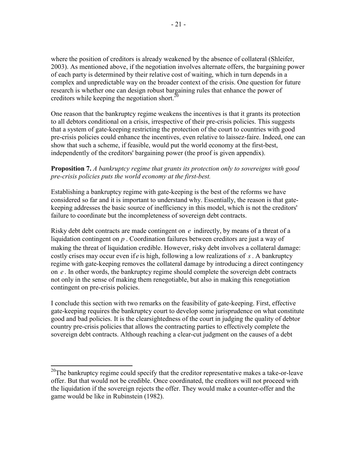where the position of creditors is already weakened by the absence of collateral (Shleifer, 2003). As mentioned above, if the negotiation involves alternate offers, the bargaining power of each party is determined by their relative cost of waiting, which in turn depends in a complex and unpredictable way on the broader context of the crisis. One question for future research is whether one can design robust bargaining rules that enhance the power of creditors while keeping the negotiation short.<sup>20</sup>

One reason that the bankruptcy regime weakens the incentives is that it grants its protection to all debtors conditional on a crisis, irrespective of their pre-crisis policies. This suggests that a system of gate-keeping restricting the protection of the court to countries with good pre-crisis policies could enhance the incentives, even relative to laissez-faire. Indeed, one can show that such a scheme, if feasible, would put the world economy at the first-best, independently of the creditors' bargaining power (the proof is given appendix).

# **Proposition 7.** *A bankruptcy regime that grants its protection only to sovereigns with good pre-crisis policies puts the world economy at the first-best.*

Establishing a bankruptcy regime with gate-keeping is the best of the reforms we have considered so far and it is important to understand why. Essentially, the reason is that gatekeeping addresses the basic source of inefficiency in this model, which is not the creditors' failure to coordinate but the incompleteness of sovereign debt contracts.

Risky debt debt contracts are made contingent on *e* indirectly, by means of a threat of a liquidation contingent on *p* . Coordination failures between creditors are just a way of making the threat of liquidation credible. However, risky debt involves a collateral damage: costly crises may occur even if *e* is high, following a low realizations of *s*. A bankruptcy regime with gate-keeping removes the collateral damage by introducing a direct contingency on *e* . In other words, the bankruptcy regime should complete the sovereign debt contracts not only in the sense of making them renegotiable, but also in making this renegotiation contingent on pre-crisis policies.

I conclude this section with two remarks on the feasibility of gate-keeping. First, effective gate-keeping requires the bankruptcy court to develop some jurisprudence on what constitute good and bad policies. It is the clearsightedness of the court in judging the quality of debtor country pre-crisis policies that allows the contracting parties to effectively complete the sovereign debt contracts. Although reaching a clear-cut judgment on the causes of a debt

 $20$ The bankruptcy regime could specify that the creditor representative makes a take-or-leave offer. But that would not be credible. Once coordinated, the creditors will not proceed with the liquidation if the sovereign rejects the offer. They would make a counter-offer and the game would be like in Rubinstein (1982).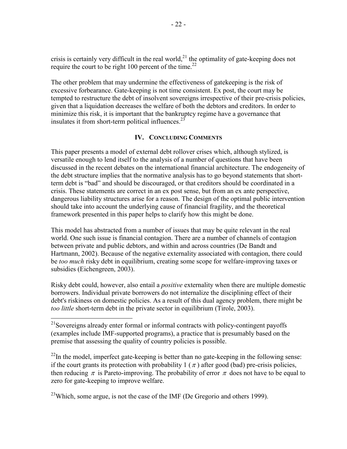crisis is certainly very difficult in the real world,<sup>21</sup> the optimality of gate-keeping does not require the court to be right 100 percent of the time.<sup>22</sup>

The other problem that may undermine the effectiveness of gatekeeping is the risk of excessive forbearance. Gate-keeping is not time consistent. Ex post, the court may be tempted to restructure the debt of insolvent sovereigns irrespective of their pre-crisis policies, given that a liquidation decreases the welfare of both the debtors and creditors. In order to minimize this risk, it is important that the bankruptcy regime have a governance that insulates it from short-term political influences. $^{23}$ 

# **IV. CONCLUDING COMMENTS**

This paper presents a model of external debt rollover crises which, although stylized, is versatile enough to lend itself to the analysis of a number of questions that have been discussed in the recent debates on the international financial architecture. The endogeneity of the debt structure implies that the normative analysis has to go beyond statements that shortterm debt is "bad" and should be discouraged, or that creditors should be coordinated in a crisis. These statements are correct in an ex post sense, but from an ex ante perspective, dangerous liability structures arise for a reason. The design of the optimal public intervention should take into account the underlying cause of financial fragility, and the theoretical framework presented in this paper helps to clarify how this might be done.

This model has abstracted from a number of issues that may be quite relevant in the real world. One such issue is financial contagion. There are a number of channels of contagion between private and public debtors, and within and across countries (De Bandt and Hartmann, 2002). Because of the negative externality associated with contagion, there could be *too much* risky debt in equilibrium, creating some scope for welfare-improving taxes or subsidies (Eichengreen, 2003).

Risky debt could, however, also entail a *positive* externality when there are multiple domestic borrowers. Individual private borrowers do not internalize the disciplining effect of their debt's riskiness on domestic policies. As a result of this dual agency problem, there might be *too little* short-term debt in the private sector in equilibrium (Tirole, 2003).

 $\overline{a}$ 

 $^{22}$ In the model, imperfect gate-keeping is better than no gate-keeping in the following sense: if the court grants its protection with probability 1 ( $\pi$ ) after good (bad) pre-crisis policies, then reducing  $\pi$  is Pareto-improving. The probability of error  $\pi$  does not have to be equal to zero for gate-keeping to improve welfare.

 $^{23}$ Which, some argue, is not the case of the IMF (De Gregorio and others 1999).

<sup>&</sup>lt;sup>21</sup>Sovereigns already enter formal or informal contracts with policy-contingent payoffs (examples include IMF-supported programs), a practice that is presumably based on the premise that assessing the quality of country policies is possible.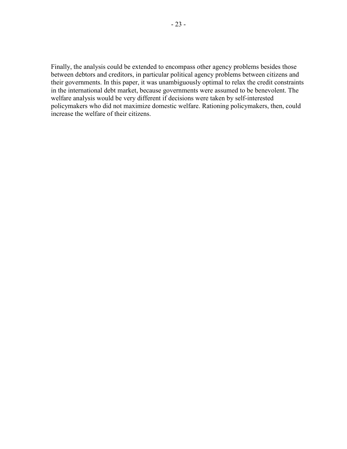Finally, the analysis could be extended to encompass other agency problems besides those between debtors and creditors, in particular political agency problems between citizens and their governments. In this paper, it was unambiguously optimal to relax the credit constraints in the international debt market, because governments were assumed to be benevolent. The welfare analysis would be very different if decisions were taken by self-interested policymakers who did not maximize domestic welfare. Rationing policymakers, then, could increase the welfare of their citizens.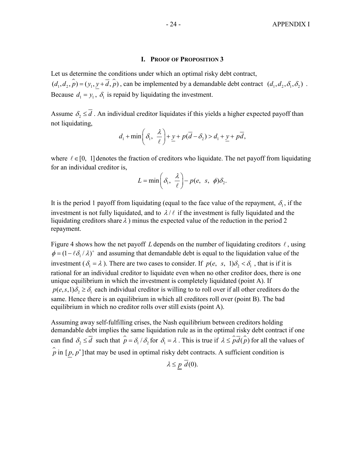#### **I. PROOF OF PROPOSITION 3**

Let us determine the conditions under which an optimal risky debt contract,  $\hat{\mu}_1(d_1, d_2, \hat{\rho}) = (\hat{\mu}_1, \hat{\mu}_2 + \hat{d}, \hat{\rho})$ , can be implemented by a demandable debt contract  $(d_1, d_2, \delta_1, \delta_2)$ . Because  $d_1 = y_1$ ,  $\delta_1$  is repaid by liquidating the investment.

Assume  $\delta_2 \leq \overline{d}$ . An individual creditor liquidates if this yields a higher expected payoff than not liquidating,

$$
d_1 + \min\left(\delta_1, \frac{\lambda}{\ell}\right) + \underline{y} + p(\overline{d} - \delta_2) > d_1 + \underline{y} + p\overline{d},
$$

where  $\ell \in [0, 1]$  denotes the fraction of creditors who liquidate. The net payoff from liquidating for an individual creditor is,

$$
L = \min\left(\delta_1, \frac{\lambda}{\ell}\right) - p(e, s, \phi)\delta_2.
$$

It is the period 1 payoff from liquidating (equal to the face value of the repayment,  $\delta_1$ , if the investment is not fully liquidated, and to  $\lambda/\ell$  if the investment is fully liquidated and the liquidating creditors share  $\lambda$ ) minus the expected value of the reduction in the period 2 repayment.

Figure 4 shows how the net payoff L depends on the number of liquidating creditors  $\ell$ , using  $\phi = (1 - \ell \delta_1 / \lambda)^+$  and assuming that demandable debt is equal to the liquidation value of the investment ( $\delta_1 = \lambda$ ). There are two cases to consider. If  $p(e, s, 1)\delta_2 < \delta_1$ , that is if it is rational for an individual creditor to liquidate even when no other creditor does, there is one unique equilibrium in which the investment is completely liquidated (point A). If  $p(e, s, 1)\delta_2 \geq \delta_1$  each individual creditor is willing to to roll over if all other creditors do the same. Hence there is an equilibrium in which all creditors roll over (point B). The bad equilibrium in which no creditor rolls over still exists (point A).

Assuming away self-fulfilling crises, the Nash equilibrium between creditors holding demandable debt implies the same liquidation rule as in the optimal risky debt contract if one can find  $\delta_2 \le \overline{d}$  such that  $\hat{p} = \delta_1 / \delta_2$  for  $\delta_1 = \lambda$ . This is true if  $\lambda \le \hat{p}\hat{d}(\hat{p})$  for all the values of  $\hat{p}$  in [ $p, p^*$ ] that may be used in optimal risky debt contracts. A sufficient condition is

 $\lambda \leq p \overline{d}(0)$ .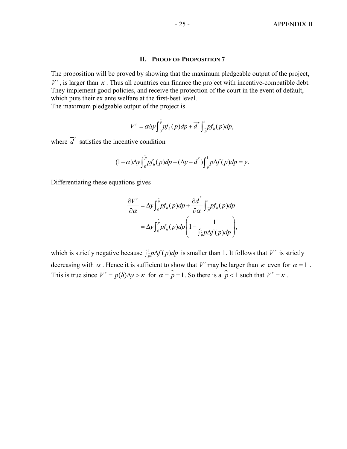#### **II. PROOF OF PROPOSITION 7**

The proposition will be proved by showing that the maximum pledgeable output of the project,  $V^r$ , is larger than  $\kappa$ . Thus all countries can finance the project with incentive-compatible debt. They implement good policies, and receive the protection of the court in the event of default, which puts their ex ante welfare at the first-best level.

The maximum pledgeable output of the project is

$$
V^r = \alpha \Delta y \int_0^{\hat{p}} p f_h(p) dp + \overline{d}^r \int_{\hat{p}}^1 p f_h(p) dp,
$$

where  $\overline{d}^r$  satisfies the incentive condition

$$
(1-\alpha)\Delta y \int_{0}^{\hat{p}} p f_h(p) dp + (\Delta y - \overline{d}') \int_{\hat{p}}^1 p \Delta f(p) dp = \gamma.
$$

Differentiating these equations gives

$$
\frac{\partial V^r}{\partial \alpha} = \Delta y \int_0^{\hat{p}} p f_h(p) dp + \frac{\partial \overline{d}^r}{\partial \alpha} \int_{\hat{p}}^1 p f_h(p) dp
$$

$$
= \Delta y \int_0^{\hat{p}} p f_h(p) dp \left( 1 - \frac{1}{\int_{\hat{p}}^1 p \Delta f(p) dp} \right),
$$

which is strictly negative because  $\int_{\rho}^{1} p \Delta f(p) dp$  is smaller than 1. It follows that *V*<sup>*r*</sup> is strictly decreasing with  $\alpha$ . Hence it is sufficient to show that  $V^r$  may be larger than  $\kappa$  even for  $\alpha = 1$ . This is true since  $V' = p(h)\Delta y > \kappa$  for  $\alpha = \hat{p} = 1$ . So there is a  $\hat{p} < 1$  such that  $V' = \kappa$ .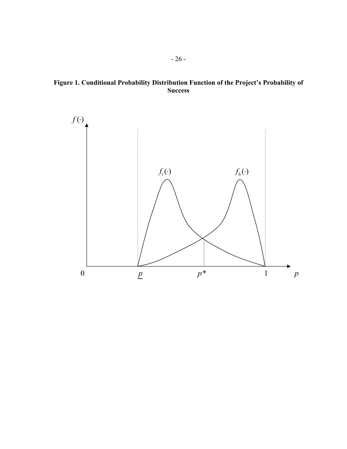**Figure 1. Conditional Probability Distribution Function of the Project's Probability of Success** 

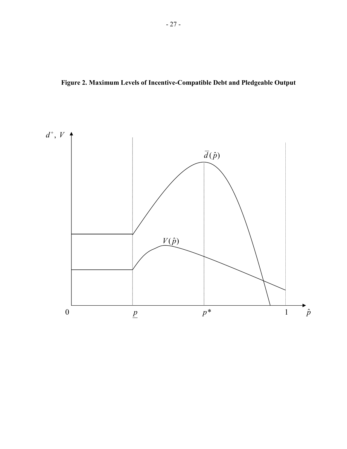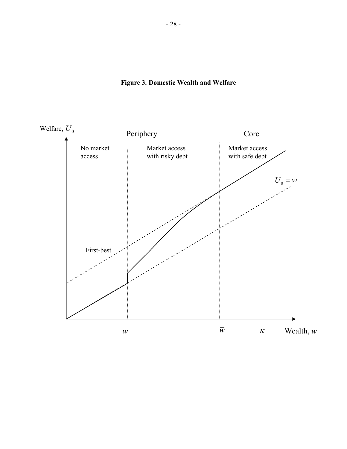

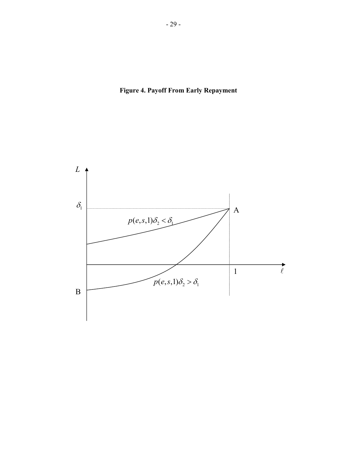

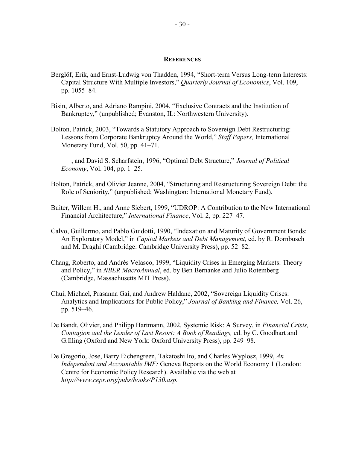#### **REFERENCES**

- Berglöf, Erik, and Ernst-Ludwig von Thadden, 1994, "Short-term Versus Long-term Interests: Capital Structure With Multiple Investors," *Quarterly Journal of Economics*, Vol. 109, pp. 1055–84.
- Bisin, Alberto, and Adriano Rampini, 2004, "Exclusive Contracts and the Institution of Bankruptcy," (unpublished; Evanston, IL: Northwestern University).
- Bolton, Patrick, 2003, "Towards a Statutory Approach to Sovereign Debt Restructuring: Lessons from Corporate Bankruptcy Around the World," *Staff Papers,* International Monetary Fund, Vol. 50, pp. 41–71.
- ———, and David S. Scharfstein, 1996, "Optimal Debt Structure," *Journal of Political Economy*, Vol. 104, pp. 1–25.
- Bolton, Patrick, and Olivier Jeanne, 2004, "Structuring and Restructuring Sovereign Debt: the Role of Seniority," (unpublished; Washington: International Monetary Fund).
- Buiter, Willem H., and Anne Siebert, 1999, "UDROP: A Contribution to the New International Financial Architecture," *International Finance*, Vol. 2, pp. 227–47.
- Calvo, Guillermo, and Pablo Guidotti, 1990, "Indexation and Maturity of Government Bonds: An Exploratory Model," in *Capital Markets and Debt Management,* ed. by R. Dornbusch and M. Draghi (Cambridge: Cambridge University Press), pp. 52–82.
- Chang, Roberto, and Andrés Velasco, 1999, "Liquidity Crises in Emerging Markets: Theory and Policy," in *NBER MacroAnnual*, ed. by Ben Bernanke and Julio Rotemberg (Cambridge, Massachusetts MIT Press).
- Chui, Michael, Prasanna Gai, and Andrew Haldane, 2002, "Sovereign Liquidity Crises: Analytics and Implications for Public Policy," *Journal of Banking and Finance,* Vol. 26, pp. 519–46.
- De Bandt, Olivier, and Philipp Hartmann, 2002, Systemic Risk: A Survey, in *Financial Crisis, Contagion and the Lender of Last Resort: A Book of Readings,* ed. by C. Goodhart and G.Illing (Oxford and New York: Oxford University Press), pp. 249–98.
- De Gregorio, Jose, Barry Eichengreen, Takatoshi Ito, and Charles Wyplosz, 1999, *An Independent and Accountable IMF:* Geneva Reports on the World Economy 1 (London: Centre for Economic Policy Research). Available via the web at *[http://www.cepr.org/pubs/books/P130.asp.](http://www.cepr.org/pubs/books/P130.asp)*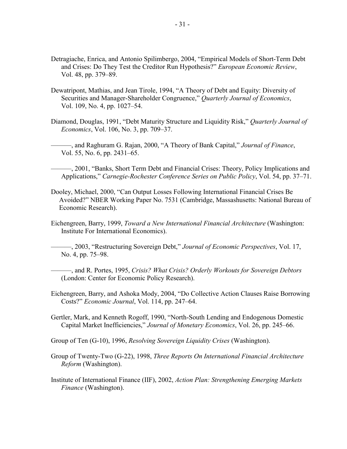- Detragiache, Enrica, and Antonio Spilimbergo, 2004, "Empirical Models of Short-Term Debt and Crises: Do They Test the Creditor Run Hypothesis?" *European Economic Review*, Vol. 48, pp. 379–89.
- Dewatripont, Mathias, and Jean Tirole, 1994, "A Theory of Debt and Equity: Diversity of Securities and Manager-Shareholder Congruence," *Quarterly Journal of Economics*, Vol. 109, No. 4, pp. 1027–54.
- Diamond, Douglas, 1991, "Debt Maturity Structure and Liquidity Risk," *Quarterly Journal of Economics*, Vol. 106, No. 3, pp. 709–37.
- ———, and Raghuram G. Rajan, 2000, "A Theory of Bank Capital," *Journal of Finance*, Vol. 55, No. 6, pp. 2431–65.
- ———, 2001, "Banks, Short Term Debt and Financial Crises: Theory, Policy Implications and Applications," *Carnegie-Rochester Conference Series on Public Policy*, Vol. 54, pp. 37–71.
- Dooley, Michael, 2000, "Can Output Losses Following International Financial Crises Be Avoided?" NBER Working Paper No. 7531 (Cambridge, Massashusetts: National Bureau of Economic Research).
- Eichengreen, Barry, 1999, *Toward a New International Financial Architecture* (Washington: Institute For International Economics).

———, 2003, "Restructuring Sovereign Debt," *Journal of Economic Perspectives*, Vol. 17, No. 4, pp. 75–98.

- ———, and R. Portes, 1995, *Crisis? What Crisis? Orderly Workouts for Sovereign Debtors* (London: Center for Economic Policy Research).
- Eichengreen, Barry, and Ashoka Mody, 2004, "Do Collective Action Clauses Raise Borrowing Costs?" *Economic Journal*, Vol. 114, pp. 247–64.
- Gertler, Mark, and Kenneth Rogoff, 1990, "North-South Lending and Endogenous Domestic Capital Market Inefficiencies," *Journal of Monetary Economics*, Vol. 26, pp. 245–66.
- Group of Ten (G-10), 1996, *Resolving Sovereign Liquidity Crises* (Washington).
- Group of Twenty-Two (G-22), 1998, *Three Reports On International Financial Architecture Reform* (Washington).
- Institute of International Finance (IIF), 2002, *Action Plan: Strengthening Emerging Markets Finance* (Washington).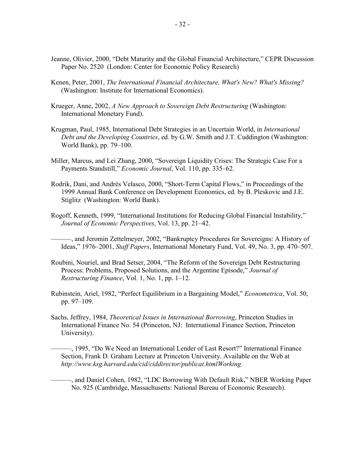- Jeanne, Olivier, 2000, "Debt Maturity and the Global Financial Architecture," CEPR Discussion Paper No. 2520 (London: Center for Economic Policy Research)
- Kenen, Peter, 2001, *The International Financial Architecture, What's New? What's Missing?* (Washington: Institute for International Economics).
- Krueger, Anne, 2002, *A New Approach to Sovereign Debt Restructuring* (Washington: International Monetary Fund).
- Krugman, Paul, 1985, International Debt Strategies in an Uncertain World, in *International Debt and the Developing Countries*, ed. by G.W. Smith and J.T. Cuddington (Washington: World Bank), pp. 79–100.
- Miller, Marcus, and Lei Zhang, 2000, "Sovereign Liquidity Crises: The Strategic Case For a Payments Standstill," *Economic Journal*, Vol. 110, pp. 335–62.
- Rodrik, Dani, and Andrés Velasco, 2000, "Short-Term Capital Flows," in Proceedings of the 1999 Annual Bank Conference on Development Economics, ed. by B. Pleskovic and J.E. Stiglitz (Washington: World Bank).
- Rogoff, Kenneth, 1999, "International Institutions for Reducing Global Financial Instability," *Journal of Economic Perspectives*, Vol. 13, pp. 21–42.
	- ———, and Jeromin Zettelmeyer, 2002, "Bankruptcy Procedures for Sovereigns: A History of Ideas," 1976–2001, *Staff Papers*, International Monetary Fund, Vol. 49, No. 3, pp. 470–507.
- Roubini, Nouriel, and Brad Setser, 2004, "The Reform of the Sovereign Debt Restructuring Process: Problems, Proposed Solutions, and the Argentine Episode," *Journal of Restructuring Finance*, Vol. 1, No. 1, pp. 1–12.
- Rubinstein, Ariel, 1982, "Perfect Equilibrium in a Bargaining Model," *Econometrica*, Vol. 50, pp. 97–109.
- Sachs, Jeffrey, 1984, *Theoretical Issues in International Borrowing*, Princeton Studies in International Finance No. 54 (Princeton, NJ: International Finance Section, Princeton University).
	- ———, 1995, "Do We Need an International Lender of Last Resort?" International Finance Section, Frank D. Graham Lecture at Princeton University. Available on the Web at *[http://www.ksg.harvard.edu/cid/ciddirector/publicat.htmlWorking.](http://www.ksg.harvard.edu/cid/ciddirector/publicat.htmlWorking)*
	- ———, and Daniel Cohen, 1982, "LDC Borrowing With Default Risk," NBER Working Paper No. 925 (Cambridge, Massachusetts: National Bureau of Economic Research).